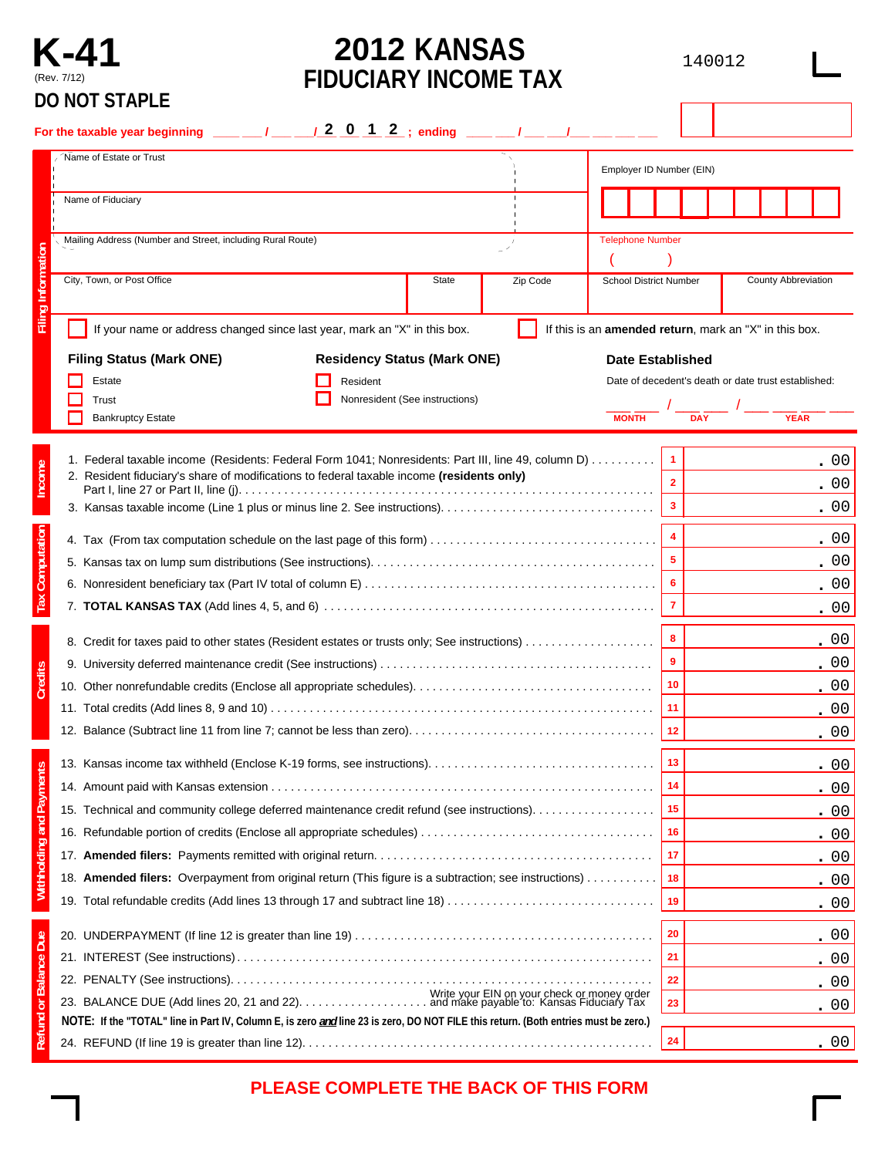

# **2012 KANSAS FIDUCIARY INCOME TAX**

140012

| Name of Estate or Trust                                                                                                            |                                                                           |              |          |                               |                         |                                                        |
|------------------------------------------------------------------------------------------------------------------------------------|---------------------------------------------------------------------------|--------------|----------|-------------------------------|-------------------------|--------------------------------------------------------|
|                                                                                                                                    |                                                                           |              |          | Employer ID Number (EIN)      |                         |                                                        |
| Name of Fiduciary                                                                                                                  |                                                                           |              |          |                               |                         |                                                        |
| Mailing Address (Number and Street, including Rural Route)                                                                         |                                                                           |              |          | <b>Telephone Number</b>       |                         |                                                        |
|                                                                                                                                    |                                                                           |              |          |                               |                         |                                                        |
| City, Town, or Post Office                                                                                                         |                                                                           | <b>State</b> | Zip Code | <b>School District Number</b> |                         | <b>County Abbreviation</b>                             |
|                                                                                                                                    | If your name or address changed since last year, mark an "X" in this box. |              |          |                               |                         | If this is an amended return, mark an "X" in this box. |
| <b>Filing Status (Mark ONE)</b>                                                                                                    | <b>Residency Status (Mark ONE)</b>                                        |              |          | <b>Date Established</b>       |                         |                                                        |
| Estate                                                                                                                             | Resident                                                                  |              |          |                               |                         | Date of decedent's death or date trust established:    |
| Trust                                                                                                                              | Nonresident (See instructions)                                            |              |          |                               |                         |                                                        |
| <b>Bankruptcy Estate</b>                                                                                                           |                                                                           |              |          | <b>MONTH</b>                  | <b>DAY</b>              | <b>YEAR</b>                                            |
| 1. Federal taxable income (Residents: Federal Form 1041; Nonresidents: Part III, line 49, column D)                                |                                                                           |              |          |                               | $\mathbf{1}$            | . 00                                                   |
| 2. Resident fiduciary's share of modifications to federal taxable income (residents only)                                          |                                                                           |              |          |                               | $\overline{\mathbf{2}}$ | .00                                                    |
|                                                                                                                                    |                                                                           |              |          |                               | $\mathbf{3}$            | .00                                                    |
|                                                                                                                                    |                                                                           |              |          |                               |                         |                                                        |
|                                                                                                                                    |                                                                           |              |          |                               | $\overline{\mathbf{4}}$ | .00                                                    |
|                                                                                                                                    |                                                                           |              |          |                               | $\overline{\mathbf{5}}$ | .00                                                    |
|                                                                                                                                    |                                                                           |              |          |                               | 6                       | .00                                                    |
|                                                                                                                                    |                                                                           |              |          |                               | $\overline{7}$          | .00                                                    |
| 8. Credit for taxes paid to other states (Resident estates or trusts only; See instructions)                                       |                                                                           |              |          |                               | 8                       | .00                                                    |
|                                                                                                                                    |                                                                           |              |          |                               | $\overline{9}$          | .00                                                    |
|                                                                                                                                    |                                                                           |              |          |                               | 10                      | .00                                                    |
|                                                                                                                                    |                                                                           |              |          |                               | 11                      | .00                                                    |
|                                                                                                                                    |                                                                           |              |          |                               | 12                      | .00                                                    |
| 13. Kansas income tax withheld (Enclose K-19 forms, see instructions)                                                              |                                                                           |              |          |                               | 13                      | 00                                                     |
|                                                                                                                                    |                                                                           |              |          |                               | 14                      | .00                                                    |
| 15. Technical and community college deferred maintenance credit refund (see instructions).                                         |                                                                           |              |          |                               | 15                      | .00                                                    |
|                                                                                                                                    |                                                                           |              |          |                               | 16                      | <u>. 00</u>                                            |
|                                                                                                                                    |                                                                           |              |          |                               | 17                      | .00                                                    |
| 18. Amended filers: Overpayment from original return (This figure is a subtraction; see instructions)                              |                                                                           |              |          |                               | 18                      | .00                                                    |
|                                                                                                                                    |                                                                           |              |          |                               | 19                      | .00                                                    |
|                                                                                                                                    |                                                                           |              |          |                               | 20                      | .00                                                    |
|                                                                                                                                    |                                                                           |              |          |                               | 21                      | , 00                                                   |
|                                                                                                                                    |                                                                           |              |          |                               | 22                      | . 00                                                   |
|                                                                                                                                    |                                                                           |              |          |                               | 23                      | .00                                                    |
| NOTE: If the "TOTAL" line in Part IV, Column E, is zero and line 23 is zero, DO NOT FILE this return. (Both entries must be zero.) |                                                                           |              |          |                               |                         |                                                        |
|                                                                                                                                    |                                                                           |              |          |                               | 24                      | .00                                                    |

# **PLEASE COMPLETE THE BACK OF THIS FORM**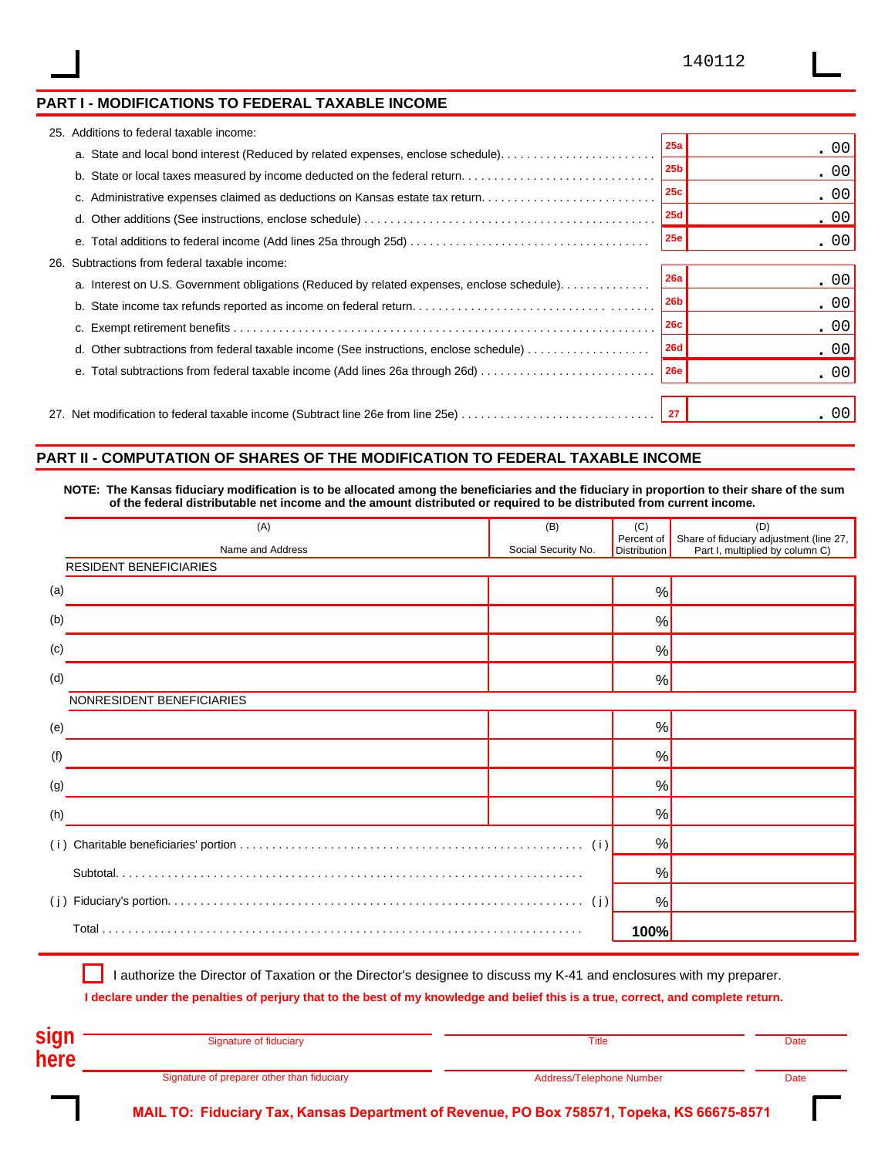### **PART I - MODIFICATIONS TO FEDERAL TAXABLE INCOME**

|     | 25. Additions to federal taxable income:                                                                                    |                 |      |
|-----|-----------------------------------------------------------------------------------------------------------------------------|-----------------|------|
|     | a. State and local bond interest (Reduced by related expenses, enclose schedule)                                            | 25a             | .00  |
|     | b. State or local taxes measured by income deducted on the federal return                                                   | 25 <sub>b</sub> | .00  |
|     | c. Administrative expenses claimed as deductions on Kansas estate tax return                                                | 25c             | .00  |
|     |                                                                                                                             | <b>25d</b>      | .00  |
|     |                                                                                                                             | <b>25e</b>      | .00  |
| 26. | Subtractions from federal taxable income:                                                                                   |                 |      |
|     | a. Interest on U.S. Government obligations (Reduced by related expenses, enclose schedule).                                 | 26a             | .00  |
|     |                                                                                                                             | 26 <sub>b</sub> | .00  |
|     |                                                                                                                             | <b>26c</b>      | .00  |
|     | d. Other subtractions from federal taxable income (See instructions, enclose schedule) $\ldots \ldots \ldots \ldots \ldots$ | 26d             | .00  |
|     |                                                                                                                             |                 | .00  |
|     |                                                                                                                             |                 |      |
|     |                                                                                                                             |                 | . 00 |

### **PART II - COMPUTATION OF SHARES OF THE MODIFICATION TO FEDERAL TAXABLE INCOME**

**NOTE: The Kansas fiduciary modification is to be allocated among the beneficiaries and the fiduciary in proportion to their share of the sum of the federal distributable net income and the amount distributed or required to be distributed from current income.**

| (A)                           | (B)                 | (C)                               | (D)                                                                        |
|-------------------------------|---------------------|-----------------------------------|----------------------------------------------------------------------------|
| Name and Address              | Social Security No. | Percent of<br><b>Distribution</b> | Share of fiduciary adjustment (line 27,<br>Part I, multiplied by column C) |
| <b>RESIDENT BENEFICIARIES</b> |                     |                                   |                                                                            |
| (a)                           |                     | $\frac{0}{0}$                     |                                                                            |
| (b)                           |                     | %                                 |                                                                            |
| (c)                           |                     | %                                 |                                                                            |
| (d)                           |                     | %                                 |                                                                            |
| NONRESIDENT BENEFICIARIES     |                     |                                   |                                                                            |
| (e)                           |                     | %                                 |                                                                            |
| (f)                           |                     | %                                 |                                                                            |
| (g)                           |                     | %                                 |                                                                            |
| (h)                           |                     | %                                 |                                                                            |
| (i)                           |                     | %                                 |                                                                            |
|                               |                     | %                                 |                                                                            |
| (i)                           |                     | %                                 |                                                                            |
|                               |                     | 100%                              |                                                                            |

I authorize the Director of Taxation or the Director's designee to discuss my K-41 and enclosures with my preparer.

**I declare under the penalties of perjury that to the best of my knowledge and belief this is a true, correct, and complete return.**

| sigr | Signature of fiduciary                     | Title                    | Date |
|------|--------------------------------------------|--------------------------|------|
| here |                                            |                          |      |
|      | Signature of preparer other than fiduciary | Address/Telephone Number | Date |

**MAIL TO: Fiduciary Tax, Kansas Department of Revenue, PO Box 758571, Topeka, KS 66675-8571**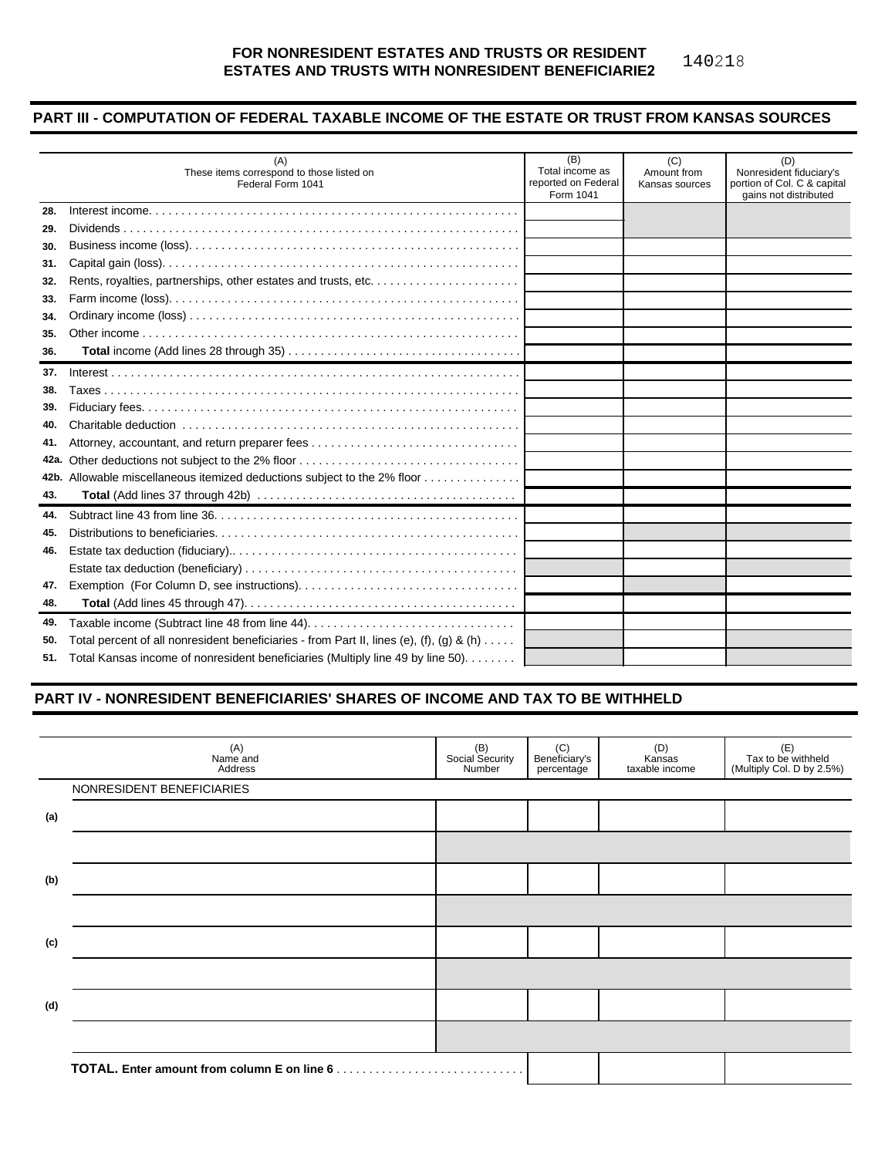#### **FOR NONRESIDENT ESTATES AND TRUSTS OR RESIDENT ESTATES AND TRUSTS WITH NONRESIDENT BENEFICIARIE2** 140218

### **PART III - COMPUTATION OF FEDERAL TAXABLE INCOME OF THE ESTATE OR TRUST FROM KANSAS SOURCES**

|      | (A)<br>These items correspond to those listed on<br>Federal Form 1041                              | (B)<br>Total income as<br>reported on Federal<br>Form 1041 | (C)<br>Amount from<br>Kansas sources | (D)<br>Nonresident fiduciary's<br>portion of Col. C & capital<br>gains not distributed |
|------|----------------------------------------------------------------------------------------------------|------------------------------------------------------------|--------------------------------------|----------------------------------------------------------------------------------------|
| 28.  |                                                                                                    |                                                            |                                      |                                                                                        |
| 29.  |                                                                                                    |                                                            |                                      |                                                                                        |
| 30.  |                                                                                                    |                                                            |                                      |                                                                                        |
| 31.  |                                                                                                    |                                                            |                                      |                                                                                        |
| 32.  |                                                                                                    |                                                            |                                      |                                                                                        |
| 33.  |                                                                                                    |                                                            |                                      |                                                                                        |
| 34.  |                                                                                                    |                                                            |                                      |                                                                                        |
| 35.  |                                                                                                    |                                                            |                                      |                                                                                        |
| 36.  |                                                                                                    |                                                            |                                      |                                                                                        |
| 37.  |                                                                                                    |                                                            |                                      |                                                                                        |
| 38.  |                                                                                                    |                                                            |                                      |                                                                                        |
| 39.  |                                                                                                    |                                                            |                                      |                                                                                        |
| 40.  |                                                                                                    |                                                            |                                      |                                                                                        |
| 41.  |                                                                                                    |                                                            |                                      |                                                                                        |
| 42a. |                                                                                                    |                                                            |                                      |                                                                                        |
|      | 42b. Allowable miscellaneous itemized deductions subject to the 2% floor                           |                                                            |                                      |                                                                                        |
| 43.  |                                                                                                    |                                                            |                                      |                                                                                        |
| 44.  |                                                                                                    |                                                            |                                      |                                                                                        |
| 45.  |                                                                                                    |                                                            |                                      |                                                                                        |
| 46.  |                                                                                                    |                                                            |                                      |                                                                                        |
|      |                                                                                                    |                                                            |                                      |                                                                                        |
| 47.  |                                                                                                    |                                                            |                                      |                                                                                        |
| 48.  |                                                                                                    |                                                            |                                      |                                                                                        |
| 49.  |                                                                                                    |                                                            |                                      |                                                                                        |
| 50.  | Total percent of all nonresident beneficiaries - from Part II, lines (e), (f), (g) & (h) $\dots$ . |                                                            |                                      |                                                                                        |
|      | 51. Total Kansas income of nonresident beneficiaries (Multiply line 49 by line 50).                |                                                            |                                      |                                                                                        |

### **PART IV - NONRESIDENT BENEFICIARIES' SHARES OF INCOME AND TAX TO BE WITHHELD**

|     | (A)<br>Name and<br>Address | (B)<br>Social Security<br>Number | (C)<br>Beneficiary's<br>percentage | (D)<br>Kansas<br>taxable income | (E)<br>Tax to be withheld<br>(Multiply Col. D by 2.5%) |
|-----|----------------------------|----------------------------------|------------------------------------|---------------------------------|--------------------------------------------------------|
|     | NONRESIDENT BENEFICIARIES  |                                  |                                    |                                 |                                                        |
| (a) |                            |                                  |                                    |                                 |                                                        |
|     |                            |                                  |                                    |                                 |                                                        |
| (b) |                            |                                  |                                    |                                 |                                                        |
|     |                            |                                  |                                    |                                 |                                                        |
| (c) |                            |                                  |                                    |                                 |                                                        |
|     |                            |                                  |                                    |                                 |                                                        |
| (d) |                            |                                  |                                    |                                 |                                                        |
|     |                            |                                  |                                    |                                 |                                                        |
|     |                            |                                  |                                    |                                 |                                                        |